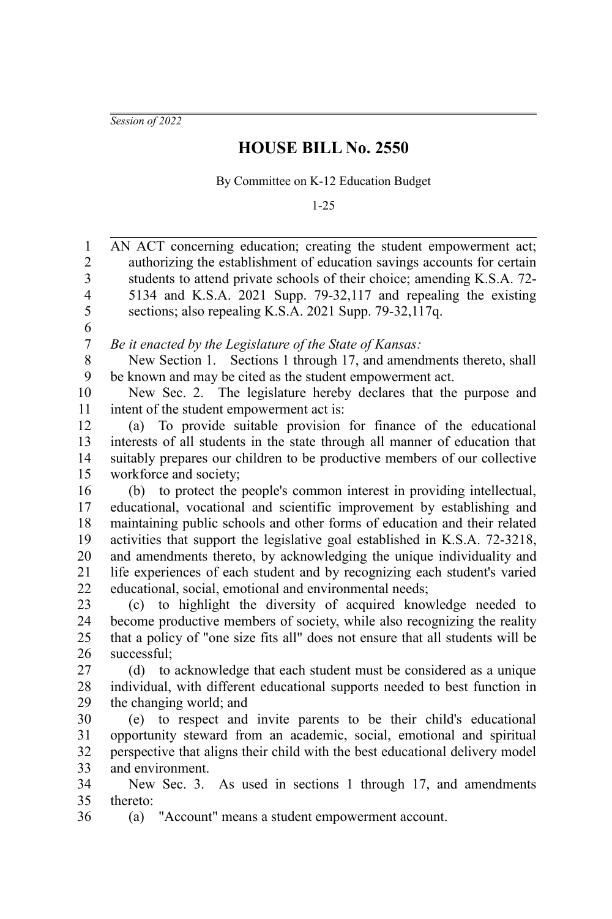*Session of 2022*

## **HOUSE BILL No. 2550**

By Committee on K-12 Education Budget

1-25

AN ACT concerning education; creating the student empowerment act; authorizing the establishment of education savings accounts for certain students to attend private schools of their choice; amending K.S.A. 72- 5134 and K.S.A. 2021 Supp. 79-32,117 and repealing the existing sections; also repealing K.S.A. 2021 Supp. 79-32,117q. *Be it enacted by the Legislature of the State of Kansas:* New Section 1. Sections 1 through 17, and amendments thereto, shall be known and may be cited as the student empowerment act. New Sec. 2. The legislature hereby declares that the purpose and intent of the student empowerment act is: (a) To provide suitable provision for finance of the educational interests of all students in the state through all manner of education that suitably prepares our children to be productive members of our collective workforce and society; (b) to protect the people's common interest in providing intellectual, educational, vocational and scientific improvement by establishing and maintaining public schools and other forms of education and their related activities that support the legislative goal established in K.S.A. 72-3218, and amendments thereto, by acknowledging the unique individuality and life experiences of each student and by recognizing each student's varied educational, social, emotional and environmental needs; (c) to highlight the diversity of acquired knowledge needed to become productive members of society, while also recognizing the reality that a policy of "one size fits all" does not ensure that all students will be successful; (d) to acknowledge that each student must be considered as a unique individual, with different educational supports needed to best function in the changing world; and (e) to respect and invite parents to be their child's educational opportunity steward from an academic, social, emotional and spiritual perspective that aligns their child with the best educational delivery model and environment. New Sec. 3. As used in sections 1 through 17, and amendments thereto: (a) "Account" means a student empowerment account. 1 2 3 4 5 6 7 8 9 10 11 12 13 14 15 16 17 18 19 20 21 22 23 24 25 26 27 28 29 30 31 32 33 34 35 36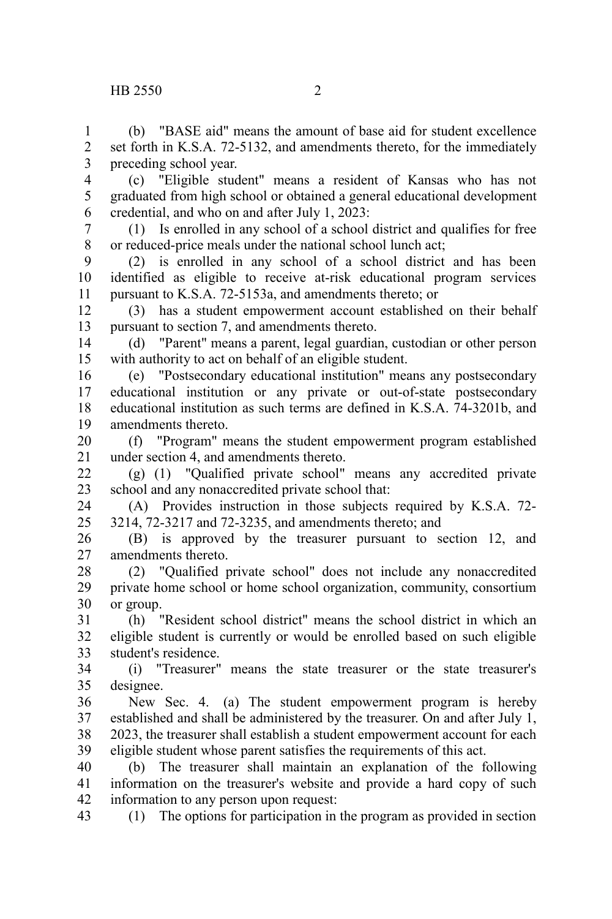1 2 3

(b) "BASE aid" means the amount of base aid for student excellence set forth in K.S.A. 72-5132, and amendments thereto, for the immediately preceding school year.

(c) "Eligible student" means a resident of Kansas who has not graduated from high school or obtained a general educational development credential, and who on and after July 1, 2023: 4 5 6

(1) Is enrolled in any school of a school district and qualifies for free or reduced-price meals under the national school lunch act; 7 8

(2) is enrolled in any school of a school district and has been identified as eligible to receive at-risk educational program services pursuant to K.S.A. 72-5153a, and amendments thereto; or 9 10 11

(3) has a student empowerment account established on their behalf pursuant to section 7, and amendments thereto. 12 13

(d) "Parent" means a parent, legal guardian, custodian or other person with authority to act on behalf of an eligible student. 14 15

(e) "Postsecondary educational institution" means any postsecondary educational institution or any private or out-of-state postsecondary educational institution as such terms are defined in K.S.A. 74-3201b, and amendments thereto. 16 17 18 19

(f) "Program" means the student empowerment program established under section 4, and amendments thereto. 20 21

(g) (1) "Qualified private school" means any accredited private school and any nonaccredited private school that:  $22$ 23

(A) Provides instruction in those subjects required by K.S.A. 72- 3214, 72-3217 and 72-3235, and amendments thereto; and 24 25

(B) is approved by the treasurer pursuant to section 12, and amendments thereto. 26 27

(2) "Qualified private school" does not include any nonaccredited private home school or home school organization, community, consortium or group. 28 29 30

(h) "Resident school district" means the school district in which an eligible student is currently or would be enrolled based on such eligible student's residence. 31 32 33

(i) "Treasurer" means the state treasurer or the state treasurer's designee. 34 35

New Sec. 4. (a) The student empowerment program is hereby established and shall be administered by the treasurer. On and after July 1, 2023, the treasurer shall establish a student empowerment account for each eligible student whose parent satisfies the requirements of this act. 36 37 38 39

(b) The treasurer shall maintain an explanation of the following information on the treasurer's website and provide a hard copy of such information to any person upon request: 40 41 42

(1) The options for participation in the program as provided in section 43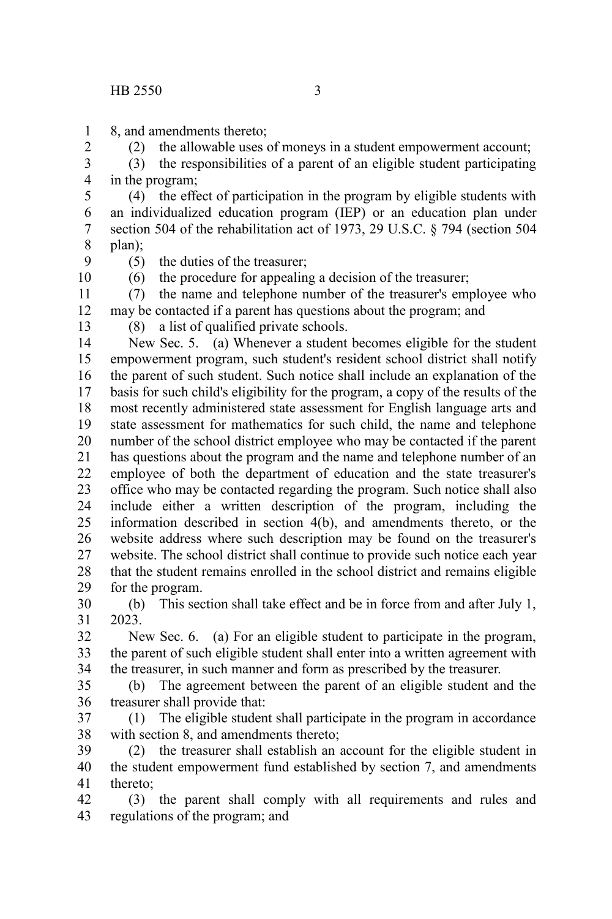8, and amendments thereto; 1

(2) the allowable uses of moneys in a student empowerment account;

(3) the responsibilities of a parent of an eligible student participating in the program; 3 4

(4) the effect of participation in the program by eligible students with an individualized education program (IEP) or an education plan under section 504 of the rehabilitation act of 1973, 29 U.S.C. § 794 (section 504 plan); 5 6 7 8

9 10

2

(5) the duties of the treasurer;

(6) the procedure for appealing a decision of the treasurer;

(7) the name and telephone number of the treasurer's employee who may be contacted if a parent has questions about the program; and 11 12

13

(8) a list of qualified private schools.

New Sec. 5. (a) Whenever a student becomes eligible for the student empowerment program, such student's resident school district shall notify the parent of such student. Such notice shall include an explanation of the basis for such child's eligibility for the program, a copy of the results of the most recently administered state assessment for English language arts and state assessment for mathematics for such child, the name and telephone number of the school district employee who may be contacted if the parent has questions about the program and the name and telephone number of an employee of both the department of education and the state treasurer's office who may be contacted regarding the program. Such notice shall also include either a written description of the program, including the information described in section 4(b), and amendments thereto, or the website address where such description may be found on the treasurer's website. The school district shall continue to provide such notice each year that the student remains enrolled in the school district and remains eligible for the program. 14 15 16 17 18 19 20 21 22 23 24 25 26 27 28 29

(b) This section shall take effect and be in force from and after July 1, 2023. 30 31

New Sec. 6. (a) For an eligible student to participate in the program, the parent of such eligible student shall enter into a written agreement with the treasurer, in such manner and form as prescribed by the treasurer. 32 33 34

(b) The agreement between the parent of an eligible student and the treasurer shall provide that: 35 36

(1) The eligible student shall participate in the program in accordance with section 8, and amendments thereto; 37 38

(2) the treasurer shall establish an account for the eligible student in the student empowerment fund established by section 7, and amendments thereto; 39 40 41

(3) the parent shall comply with all requirements and rules and regulations of the program; and 42 43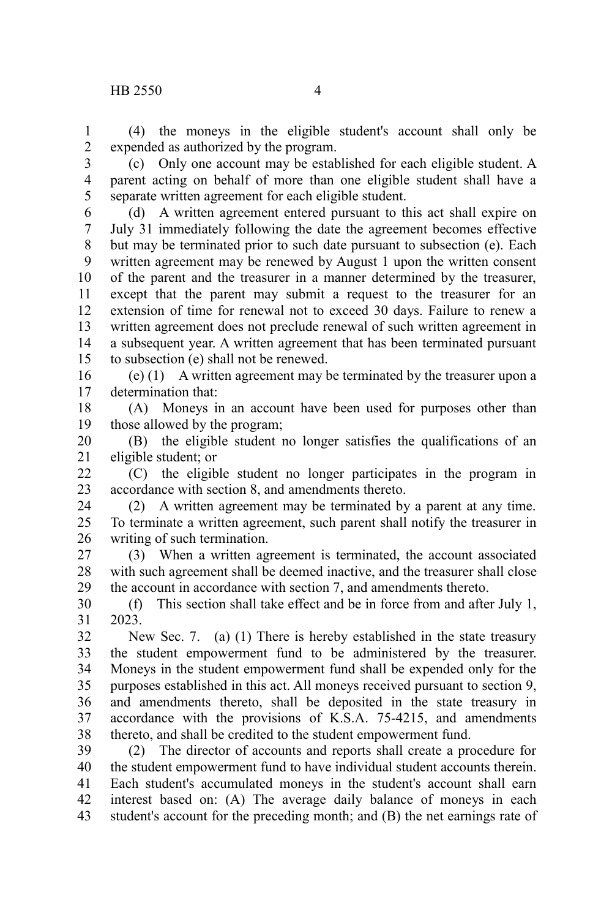(4) the moneys in the eligible student's account shall only be expended as authorized by the program. 1 2

(c) Only one account may be established for each eligible student. A parent acting on behalf of more than one eligible student shall have a separate written agreement for each eligible student. 3 4 5

(d) A written agreement entered pursuant to this act shall expire on July 31 immediately following the date the agreement becomes effective but may be terminated prior to such date pursuant to subsection (e). Each written agreement may be renewed by August 1 upon the written consent of the parent and the treasurer in a manner determined by the treasurer, except that the parent may submit a request to the treasurer for an extension of time for renewal not to exceed 30 days. Failure to renew a written agreement does not preclude renewal of such written agreement in a subsequent year. A written agreement that has been terminated pursuant to subsection (e) shall not be renewed. 6 7 8 9 10 11 12 13 14 15

(e) (1) A written agreement may be terminated by the treasurer upon a determination that: 16 17

(A) Moneys in an account have been used for purposes other than those allowed by the program; 18 19

(B) the eligible student no longer satisfies the qualifications of an eligible student; or 20 21

(C) the eligible student no longer participates in the program in accordance with section 8, and amendments thereto. 22 23

(2) A written agreement may be terminated by a parent at any time. To terminate a written agreement, such parent shall notify the treasurer in writing of such termination. 24 25 26

(3) When a written agreement is terminated, the account associated with such agreement shall be deemed inactive, and the treasurer shall close the account in accordance with section 7, and amendments thereto. 27 28 29

(f) This section shall take effect and be in force from and after July 1, 2023. 30 31

New Sec. 7. (a) (1) There is hereby established in the state treasury the student empowerment fund to be administered by the treasurer. Moneys in the student empowerment fund shall be expended only for the purposes established in this act. All moneys received pursuant to section 9, and amendments thereto, shall be deposited in the state treasury in accordance with the provisions of K.S.A. 75-4215, and amendments thereto, and shall be credited to the student empowerment fund. 32 33 34 35 36 37 38

(2) The director of accounts and reports shall create a procedure for the student empowerment fund to have individual student accounts therein. Each student's accumulated moneys in the student's account shall earn interest based on: (A) The average daily balance of moneys in each student's account for the preceding month; and (B) the net earnings rate of 39 40 41 42 43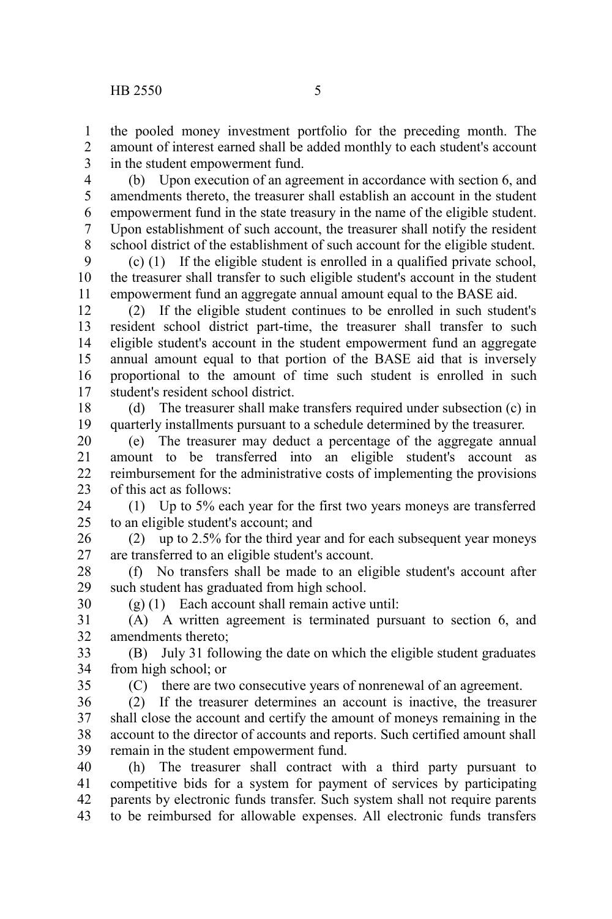the pooled money investment portfolio for the preceding month. The amount of interest earned shall be added monthly to each student's account in the student empowerment fund. 1  $\mathfrak{D}$ 3

(b) Upon execution of an agreement in accordance with section 6, and amendments thereto, the treasurer shall establish an account in the student empowerment fund in the state treasury in the name of the eligible student. Upon establishment of such account, the treasurer shall notify the resident school district of the establishment of such account for the eligible student. 4 5 6 7 8

(c) (1) If the eligible student is enrolled in a qualified private school, the treasurer shall transfer to such eligible student's account in the student empowerment fund an aggregate annual amount equal to the BASE aid.  $\mathbf{Q}$ 10 11

(2) If the eligible student continues to be enrolled in such student's resident school district part-time, the treasurer shall transfer to such eligible student's account in the student empowerment fund an aggregate annual amount equal to that portion of the BASE aid that is inversely proportional to the amount of time such student is enrolled in such student's resident school district. 12 13 14 15 16 17

(d) The treasurer shall make transfers required under subsection (c) in quarterly installments pursuant to a schedule determined by the treasurer. 18 19

(e) The treasurer may deduct a percentage of the aggregate annual amount to be transferred into an eligible student's account as reimbursement for the administrative costs of implementing the provisions of this act as follows: 20 21  $22$ 23

(1) Up to 5% each year for the first two years moneys are transferred to an eligible student's account; and 24  $25$ 

(2) up to 2.5% for the third year and for each subsequent year moneys are transferred to an eligible student's account. 26 27

(f) No transfers shall be made to an eligible student's account after such student has graduated from high school. 28 29

 $(g)$  (1) Each account shall remain active until:

(A) A written agreement is terminated pursuant to section 6, and amendments thereto; 31 32

(B) July 31 following the date on which the eligible student graduates from high school; or 33 34

35

30

(C) there are two consecutive years of nonrenewal of an agreement.

(2) If the treasurer determines an account is inactive, the treasurer shall close the account and certify the amount of moneys remaining in the account to the director of accounts and reports. Such certified amount shall remain in the student empowerment fund. 36 37 38 39

(h) The treasurer shall contract with a third party pursuant to competitive bids for a system for payment of services by participating parents by electronic funds transfer. Such system shall not require parents to be reimbursed for allowable expenses. All electronic funds transfers 40 41 42 43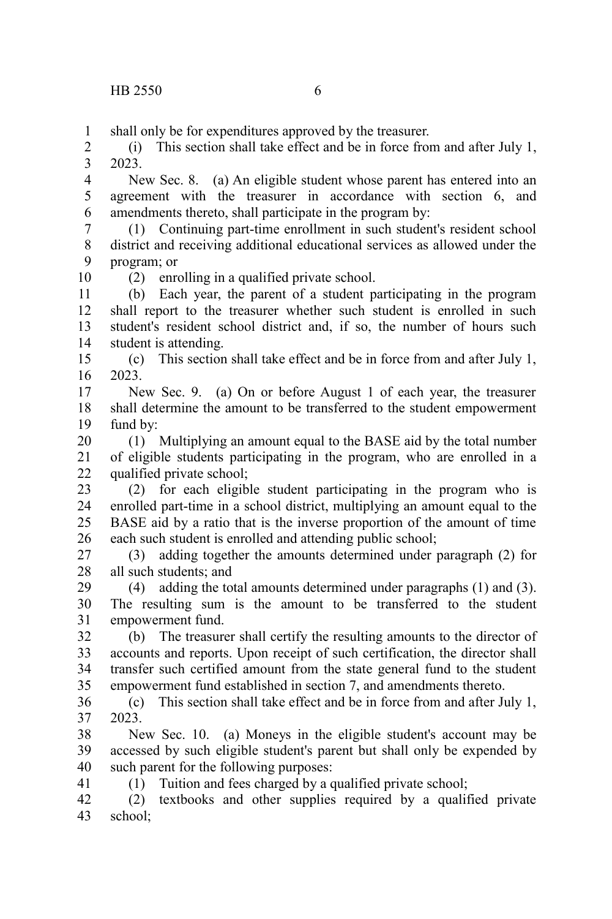41

shall only be for expenditures approved by the treasurer. 1

(i) This section shall take effect and be in force from and after July 1, 2023. 2 3

New Sec. 8. (a) An eligible student whose parent has entered into an agreement with the treasurer in accordance with section 6, and amendments thereto, shall participate in the program by: 4 5 6

(1) Continuing part-time enrollment in such student's resident school district and receiving additional educational services as allowed under the program; or 7 8 9 10

(2) enrolling in a qualified private school.

(b) Each year, the parent of a student participating in the program shall report to the treasurer whether such student is enrolled in such student's resident school district and, if so, the number of hours such student is attending. 11 12 13 14

(c) This section shall take effect and be in force from and after July 1, 2023. 15 16

New Sec. 9. (a) On or before August 1 of each year, the treasurer shall determine the amount to be transferred to the student empowerment fund by: 17 18 19

(1) Multiplying an amount equal to the BASE aid by the total number of eligible students participating in the program, who are enrolled in a qualified private school; 20 21 22

(2) for each eligible student participating in the program who is enrolled part-time in a school district, multiplying an amount equal to the BASE aid by a ratio that is the inverse proportion of the amount of time each such student is enrolled and attending public school; 23 24 25 26

(3) adding together the amounts determined under paragraph (2) for all such students; and 27 28

(4) adding the total amounts determined under paragraphs (1) and (3). The resulting sum is the amount to be transferred to the student empowerment fund. 29 30 31

(b) The treasurer shall certify the resulting amounts to the director of accounts and reports. Upon receipt of such certification, the director shall transfer such certified amount from the state general fund to the student empowerment fund established in section 7, and amendments thereto. 32 33 34 35

(c) This section shall take effect and be in force from and after July 1, 2023. 36 37

New Sec. 10. (a) Moneys in the eligible student's account may be accessed by such eligible student's parent but shall only be expended by such parent for the following purposes: 38 39 40

(1) Tuition and fees charged by a qualified private school;

(2) textbooks and other supplies required by a qualified private school; 42 43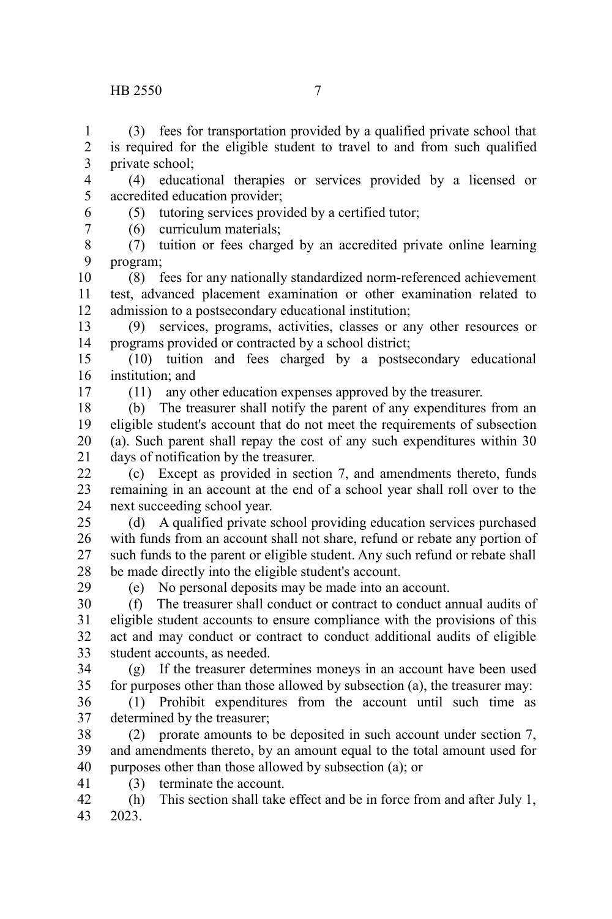## HB 2550 7

(3) fees for transportation provided by a qualified private school that is required for the eligible student to travel to and from such qualified private school; 1 2 3

(4) educational therapies or services provided by a licensed or accredited education provider; 4 5

- (5) tutoring services provided by a certified tutor;
- (6) curriculum materials;
- (7) tuition or fees charged by an accredited private online learning program; 8 9
- (8) fees for any nationally standardized norm-referenced achievement test, advanced placement examination or other examination related to admission to a postsecondary educational institution; 10 11 12
- (9) services, programs, activities, classes or any other resources or programs provided or contracted by a school district; 13 14
- (10) tuition and fees charged by a postsecondary educational institution; and 15 16
- 17

29

6 7

(11) any other education expenses approved by the treasurer.

(b) The treasurer shall notify the parent of any expenditures from an eligible student's account that do not meet the requirements of subsection (a). Such parent shall repay the cost of any such expenditures within 30 days of notification by the treasurer. 18 19 20 21

(c) Except as provided in section 7, and amendments thereto, funds remaining in an account at the end of a school year shall roll over to the next succeeding school year.  $22$ 23 24

(d) A qualified private school providing education services purchased with funds from an account shall not share, refund or rebate any portion of such funds to the parent or eligible student. Any such refund or rebate shall be made directly into the eligible student's account. 25 26 27 28

(e) No personal deposits may be made into an account.

(f) The treasurer shall conduct or contract to conduct annual audits of eligible student accounts to ensure compliance with the provisions of this act and may conduct or contract to conduct additional audits of eligible student accounts, as needed. 30 31 32 33

(g) If the treasurer determines moneys in an account have been used for purposes other than those allowed by subsection (a), the treasurer may: 34 35

(1) Prohibit expenditures from the account until such time as determined by the treasurer; 36 37

- (2) prorate amounts to be deposited in such account under section 7, and amendments thereto, by an amount equal to the total amount used for purposes other than those allowed by subsection (a); or 38 39 40
- (3) terminate the account. 41
- (h) This section shall take effect and be in force from and after July 1, 2023. 42 43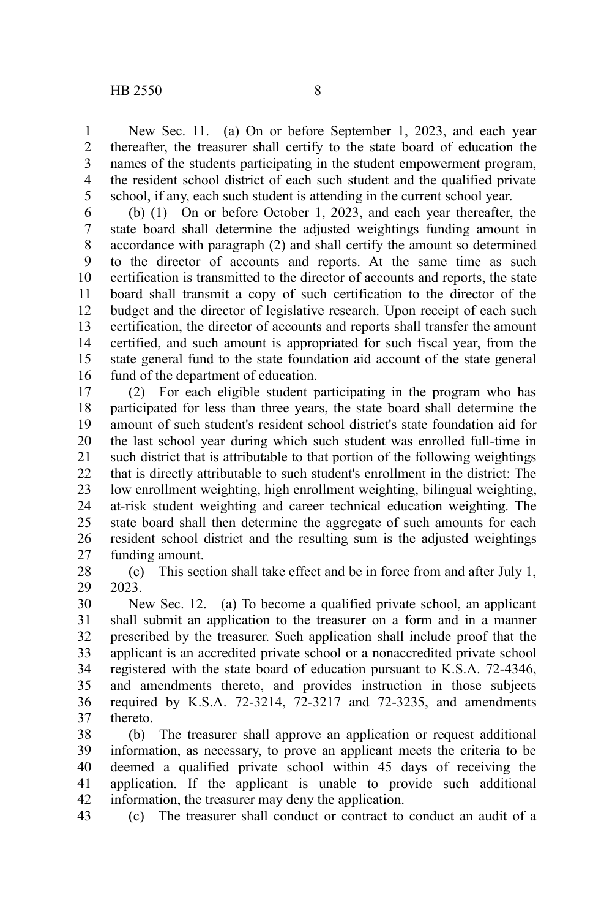New Sec. 11. (a) On or before September 1, 2023, and each year thereafter, the treasurer shall certify to the state board of education the names of the students participating in the student empowerment program, the resident school district of each such student and the qualified private school, if any, each such student is attending in the current school year. 1 2 3 4 5

(b) (1) On or before October 1, 2023, and each year thereafter, the state board shall determine the adjusted weightings funding amount in accordance with paragraph (2) and shall certify the amount so determined to the director of accounts and reports. At the same time as such certification is transmitted to the director of accounts and reports, the state board shall transmit a copy of such certification to the director of the budget and the director of legislative research. Upon receipt of each such certification, the director of accounts and reports shall transfer the amount certified, and such amount is appropriated for such fiscal year, from the state general fund to the state foundation aid account of the state general fund of the department of education. 6 7 8 9 10 11 12 13 14 15 16

(2) For each eligible student participating in the program who has participated for less than three years, the state board shall determine the amount of such student's resident school district's state foundation aid for the last school year during which such student was enrolled full-time in such district that is attributable to that portion of the following weightings that is directly attributable to such student's enrollment in the district: The low enrollment weighting, high enrollment weighting, bilingual weighting, at-risk student weighting and career technical education weighting. The state board shall then determine the aggregate of such amounts for each resident school district and the resulting sum is the adjusted weightings funding amount. 17 18 19 20 21 22 23 24 25 26 27

(c) This section shall take effect and be in force from and after July 1, 2023. 28 29

New Sec. 12. (a) To become a qualified private school, an applicant shall submit an application to the treasurer on a form and in a manner prescribed by the treasurer. Such application shall include proof that the applicant is an accredited private school or a nonaccredited private school registered with the state board of education pursuant to K.S.A. 72-4346, and amendments thereto, and provides instruction in those subjects required by K.S.A. 72-3214, 72-3217 and 72-3235, and amendments thereto. 30 31 32 33 34 35 36 37

(b) The treasurer shall approve an application or request additional information, as necessary, to prove an applicant meets the criteria to be deemed a qualified private school within 45 days of receiving the application. If the applicant is unable to provide such additional information, the treasurer may deny the application. 38 39 40 41 42

(c) The treasurer shall conduct or contract to conduct an audit of a 43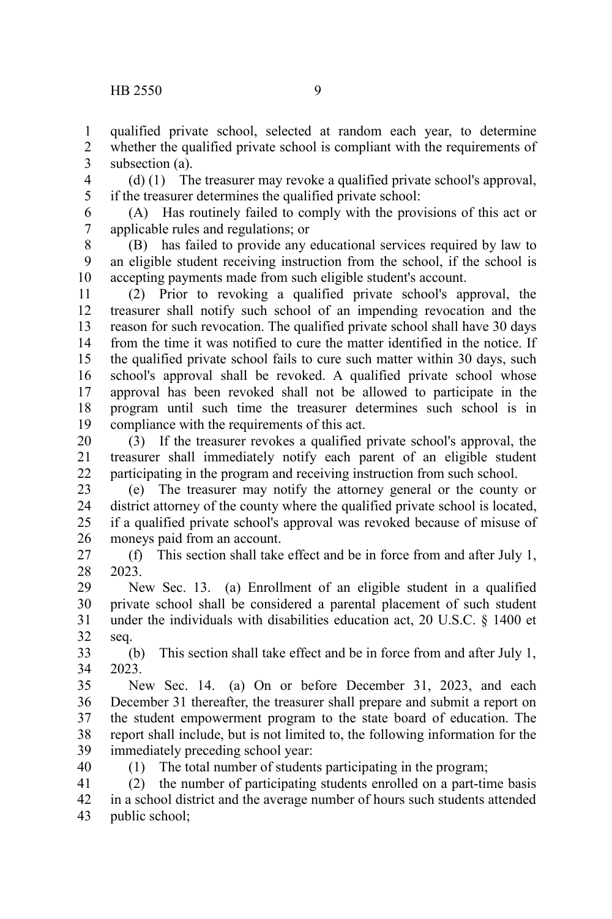qualified private school, selected at random each year, to determine whether the qualified private school is compliant with the requirements of subsection (a). 1 2 3

(d) (1) The treasurer may revoke a qualified private school's approval, if the treasurer determines the qualified private school: 4 5

(A) Has routinely failed to comply with the provisions of this act or applicable rules and regulations; or 6 7

(B) has failed to provide any educational services required by law to an eligible student receiving instruction from the school, if the school is accepting payments made from such eligible student's account. 8 9 10

(2) Prior to revoking a qualified private school's approval, the treasurer shall notify such school of an impending revocation and the reason for such revocation. The qualified private school shall have 30 days from the time it was notified to cure the matter identified in the notice. If the qualified private school fails to cure such matter within 30 days, such school's approval shall be revoked. A qualified private school whose approval has been revoked shall not be allowed to participate in the program until such time the treasurer determines such school is in compliance with the requirements of this act. 11 12 13 14 15 16 17 18 19

(3) If the treasurer revokes a qualified private school's approval, the treasurer shall immediately notify each parent of an eligible student participating in the program and receiving instruction from such school. 20 21 22

(e) The treasurer may notify the attorney general or the county or district attorney of the county where the qualified private school is located, if a qualified private school's approval was revoked because of misuse of moneys paid from an account. 23 24 25 26

(f) This section shall take effect and be in force from and after July 1, 2023. 27 28

New Sec. 13. (a) Enrollment of an eligible student in a qualified private school shall be considered a parental placement of such student under the individuals with disabilities education act, 20 U.S.C. § 1400 et seq. 29 30 31 32

(b) This section shall take effect and be in force from and after July 1, 2023. 33 34

New Sec. 14. (a) On or before December 31, 2023, and each December 31 thereafter, the treasurer shall prepare and submit a report on the student empowerment program to the state board of education. The report shall include, but is not limited to, the following information for the immediately preceding school year: 35 36 37 38 39

40

(1) The total number of students participating in the program;

(2) the number of participating students enrolled on a part-time basis in a school district and the average number of hours such students attended public school; 41 42 43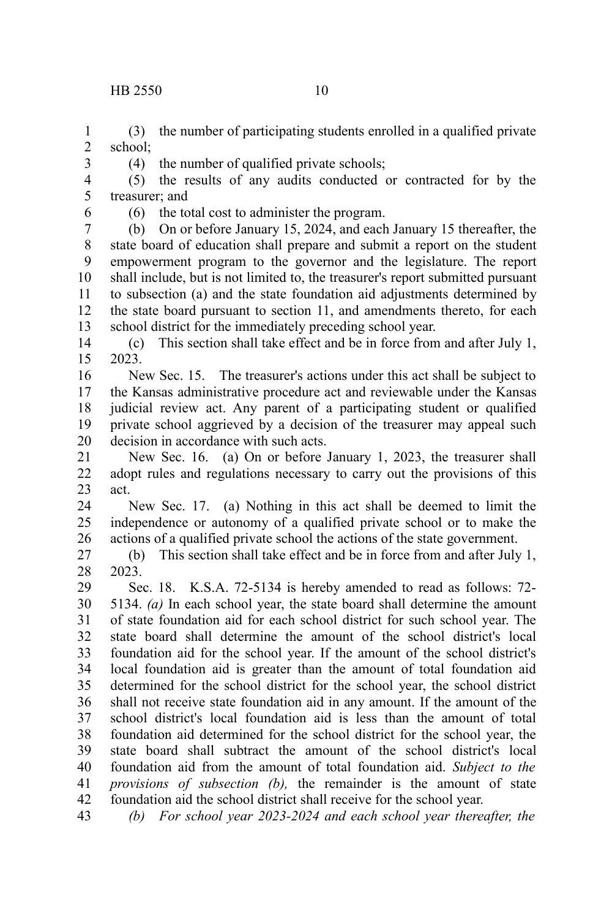(3) the number of participating students enrolled in a qualified private school; 1 2

(4) the number of qualified private schools;

(5) the results of any audits conducted or contracted for by the treasurer; and 4 5

6

3

(6) the total cost to administer the program.

(b) On or before January 15, 2024, and each January 15 thereafter, the state board of education shall prepare and submit a report on the student empowerment program to the governor and the legislature. The report shall include, but is not limited to, the treasurer's report submitted pursuant to subsection (a) and the state foundation aid adjustments determined by the state board pursuant to section 11, and amendments thereto, for each school district for the immediately preceding school year. 7 8 9 10 11 12 13

(c) This section shall take effect and be in force from and after July 1, 2023. 14 15

New Sec. 15. The treasurer's actions under this act shall be subject to the Kansas administrative procedure act and reviewable under the Kansas judicial review act. Any parent of a participating student or qualified private school aggrieved by a decision of the treasurer may appeal such decision in accordance with such acts. 16 17 18 19 20

New Sec. 16. (a) On or before January 1, 2023, the treasurer shall adopt rules and regulations necessary to carry out the provisions of this act. 21 22 23

New Sec. 17. (a) Nothing in this act shall be deemed to limit the independence or autonomy of a qualified private school or to make the actions of a qualified private school the actions of the state government. 24 25 26

(b) This section shall take effect and be in force from and after July 1, 2023. 27 28

Sec. 18. K.S.A. 72-5134 is hereby amended to read as follows: 72- 5134. *(a)* In each school year, the state board shall determine the amount of state foundation aid for each school district for such school year. The state board shall determine the amount of the school district's local foundation aid for the school year. If the amount of the school district's local foundation aid is greater than the amount of total foundation aid determined for the school district for the school year, the school district shall not receive state foundation aid in any amount. If the amount of the school district's local foundation aid is less than the amount of total foundation aid determined for the school district for the school year, the state board shall subtract the amount of the school district's local foundation aid from the amount of total foundation aid. *Subject to the provisions of subsection (b),* the remainder is the amount of state foundation aid the school district shall receive for the school year. 29 30 31 32 33 34 35 36 37 38 39 40 41 42

*(b) For school year 2023-2024 and each school year thereafter, the* 43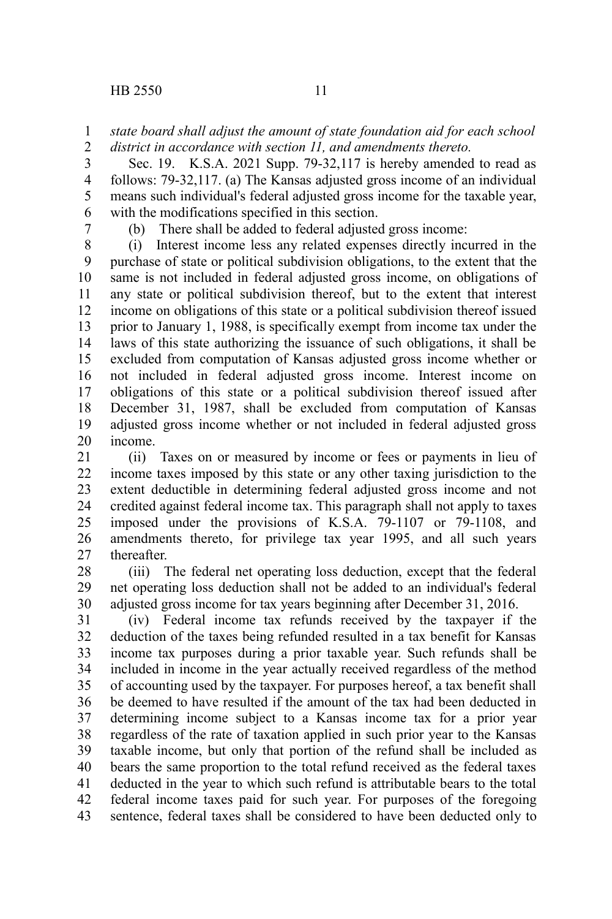## *state board shall adjust the amount of state foundation aid for each school district in accordance with section 11, and amendments thereto.* 1 2

Sec. 19. K.S.A. 2021 Supp. 79-32,117 is hereby amended to read as follows: 79-32,117. (a) The Kansas adjusted gross income of an individual means such individual's federal adjusted gross income for the taxable year, with the modifications specified in this section. 3 4 5 6

7

(b) There shall be added to federal adjusted gross income:

(i) Interest income less any related expenses directly incurred in the purchase of state or political subdivision obligations, to the extent that the same is not included in federal adjusted gross income, on obligations of any state or political subdivision thereof, but to the extent that interest income on obligations of this state or a political subdivision thereof issued prior to January 1, 1988, is specifically exempt from income tax under the laws of this state authorizing the issuance of such obligations, it shall be excluded from computation of Kansas adjusted gross income whether or not included in federal adjusted gross income. Interest income on obligations of this state or a political subdivision thereof issued after December 31, 1987, shall be excluded from computation of Kansas adjusted gross income whether or not included in federal adjusted gross income. 8 9 10 11 12 13 14 15 16 17 18 19 20

(ii) Taxes on or measured by income or fees or payments in lieu of income taxes imposed by this state or any other taxing jurisdiction to the extent deductible in determining federal adjusted gross income and not credited against federal income tax. This paragraph shall not apply to taxes imposed under the provisions of K.S.A. 79-1107 or 79-1108, and amendments thereto, for privilege tax year 1995, and all such years thereafter. 21 22 23 24 25 26 27

(iii) The federal net operating loss deduction, except that the federal net operating loss deduction shall not be added to an individual's federal adjusted gross income for tax years beginning after December 31, 2016. 28 29 30

(iv) Federal income tax refunds received by the taxpayer if the deduction of the taxes being refunded resulted in a tax benefit for Kansas income tax purposes during a prior taxable year. Such refunds shall be included in income in the year actually received regardless of the method of accounting used by the taxpayer. For purposes hereof, a tax benefit shall be deemed to have resulted if the amount of the tax had been deducted in determining income subject to a Kansas income tax for a prior year regardless of the rate of taxation applied in such prior year to the Kansas taxable income, but only that portion of the refund shall be included as bears the same proportion to the total refund received as the federal taxes deducted in the year to which such refund is attributable bears to the total federal income taxes paid for such year. For purposes of the foregoing sentence, federal taxes shall be considered to have been deducted only to 31 32 33 34 35 36 37 38 39 40 41 42 43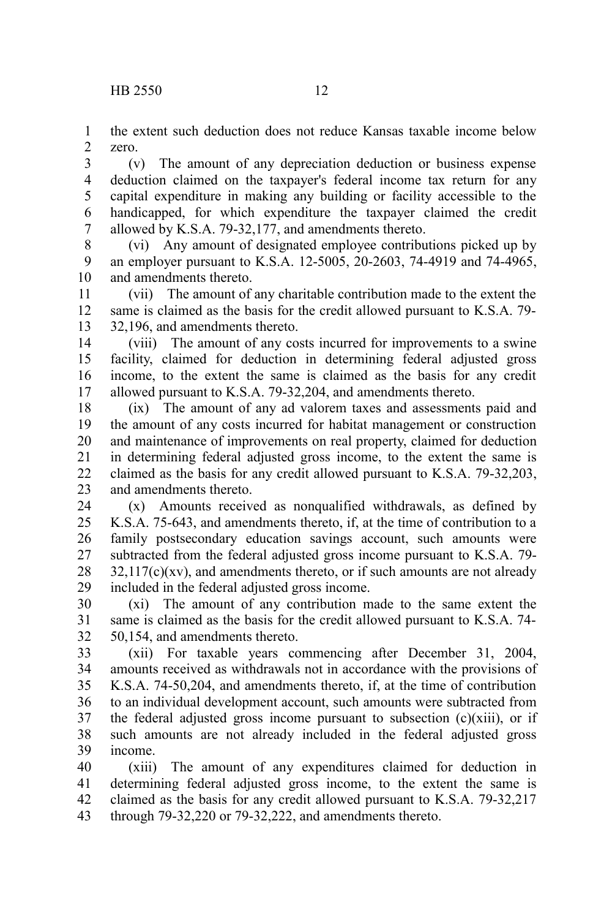the extent such deduction does not reduce Kansas taxable income below zero. 1 2

(v) The amount of any depreciation deduction or business expense deduction claimed on the taxpayer's federal income tax return for any capital expenditure in making any building or facility accessible to the handicapped, for which expenditure the taxpayer claimed the credit allowed by K.S.A. 79-32,177, and amendments thereto. 3 4 5 6 7

(vi) Any amount of designated employee contributions picked up by an employer pursuant to K.S.A. 12-5005, 20-2603, 74-4919 and 74-4965, and amendments thereto. 8 9 10

(vii) The amount of any charitable contribution made to the extent the same is claimed as the basis for the credit allowed pursuant to K.S.A. 79- 32,196, and amendments thereto. 11 12 13

(viii) The amount of any costs incurred for improvements to a swine facility, claimed for deduction in determining federal adjusted gross income, to the extent the same is claimed as the basis for any credit allowed pursuant to K.S.A. 79-32,204, and amendments thereto. 14 15 16 17

(ix) The amount of any ad valorem taxes and assessments paid and the amount of any costs incurred for habitat management or construction and maintenance of improvements on real property, claimed for deduction in determining federal adjusted gross income, to the extent the same is claimed as the basis for any credit allowed pursuant to K.S.A. 79-32,203, and amendments thereto. 18 19 20 21 22 23

(x) Amounts received as nonqualified withdrawals, as defined by K.S.A. 75-643, and amendments thereto, if, at the time of contribution to a family postsecondary education savings account, such amounts were subtracted from the federal adjusted gross income pursuant to K.S.A. 79-  $32,117(c)(xy)$ , and amendments thereto, or if such amounts are not already included in the federal adjusted gross income. 24 25 26 27 28 29

(xi) The amount of any contribution made to the same extent the same is claimed as the basis for the credit allowed pursuant to K.S.A. 74- 50,154, and amendments thereto. 30 31 32

(xii) For taxable years commencing after December 31, 2004, amounts received as withdrawals not in accordance with the provisions of K.S.A. 74-50,204, and amendments thereto, if, at the time of contribution to an individual development account, such amounts were subtracted from the federal adjusted gross income pursuant to subsection  $(c)(xiii)$ , or if such amounts are not already included in the federal adjusted gross income. 33 34 35 36 37 38 39

(xiii) The amount of any expenditures claimed for deduction in determining federal adjusted gross income, to the extent the same is claimed as the basis for any credit allowed pursuant to K.S.A. 79-32,217 through 79-32,220 or 79-32,222, and amendments thereto. 40 41 42 43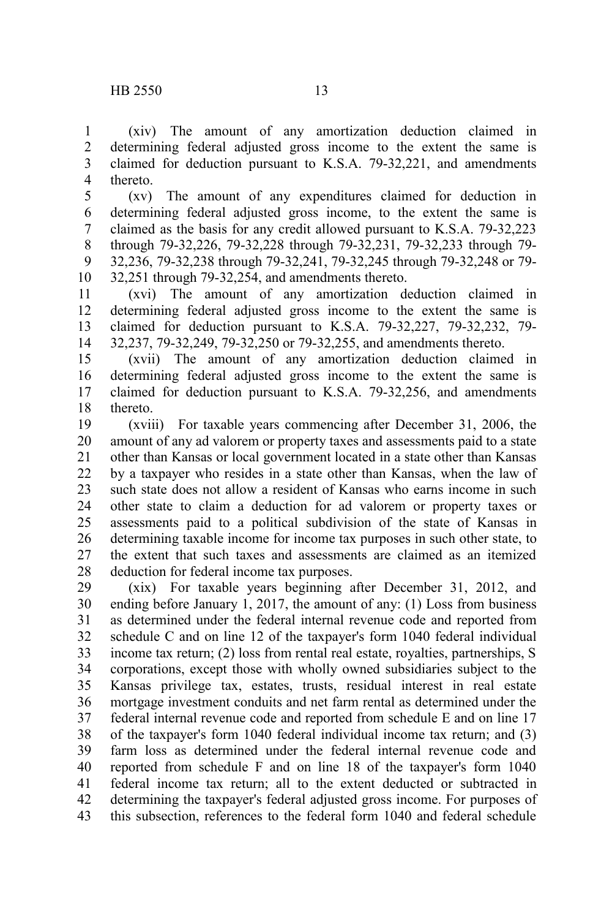(xiv) The amount of any amortization deduction claimed in determining federal adjusted gross income to the extent the same is claimed for deduction pursuant to K.S.A. 79-32,221, and amendments thereto. 1 2 3 4

(xv) The amount of any expenditures claimed for deduction in determining federal adjusted gross income, to the extent the same is claimed as the basis for any credit allowed pursuant to K.S.A. 79-32,223 through 79-32,226, 79-32,228 through 79-32,231, 79-32,233 through 79- 32,236, 79-32,238 through 79-32,241, 79-32,245 through 79-32,248 or 79- 32,251 through 79-32,254, and amendments thereto. 5 6 7 8 9 10

(xvi) The amount of any amortization deduction claimed in determining federal adjusted gross income to the extent the same is claimed for deduction pursuant to K.S.A. 79-32,227, 79-32,232, 79- 32,237, 79-32,249, 79-32,250 or 79-32,255, and amendments thereto. 11 12 13 14

(xvii) The amount of any amortization deduction claimed in determining federal adjusted gross income to the extent the same is claimed for deduction pursuant to K.S.A. 79-32,256, and amendments thereto. 15 16 17 18

(xviii) For taxable years commencing after December 31, 2006, the amount of any ad valorem or property taxes and assessments paid to a state other than Kansas or local government located in a state other than Kansas by a taxpayer who resides in a state other than Kansas, when the law of such state does not allow a resident of Kansas who earns income in such other state to claim a deduction for ad valorem or property taxes or assessments paid to a political subdivision of the state of Kansas in determining taxable income for income tax purposes in such other state, to the extent that such taxes and assessments are claimed as an itemized deduction for federal income tax purposes. 19 20 21 22 23 24 25 26 27 28

(xix) For taxable years beginning after December 31, 2012, and ending before January 1, 2017, the amount of any: (1) Loss from business as determined under the federal internal revenue code and reported from schedule C and on line 12 of the taxpayer's form 1040 federal individual income tax return; (2) loss from rental real estate, royalties, partnerships, S corporations, except those with wholly owned subsidiaries subject to the Kansas privilege tax, estates, trusts, residual interest in real estate mortgage investment conduits and net farm rental as determined under the federal internal revenue code and reported from schedule E and on line 17 of the taxpayer's form 1040 federal individual income tax return; and (3) farm loss as determined under the federal internal revenue code and reported from schedule F and on line 18 of the taxpayer's form 1040 federal income tax return; all to the extent deducted or subtracted in determining the taxpayer's federal adjusted gross income. For purposes of this subsection, references to the federal form 1040 and federal schedule 29 30 31 32 33 34 35 36 37 38 39 40 41 42 43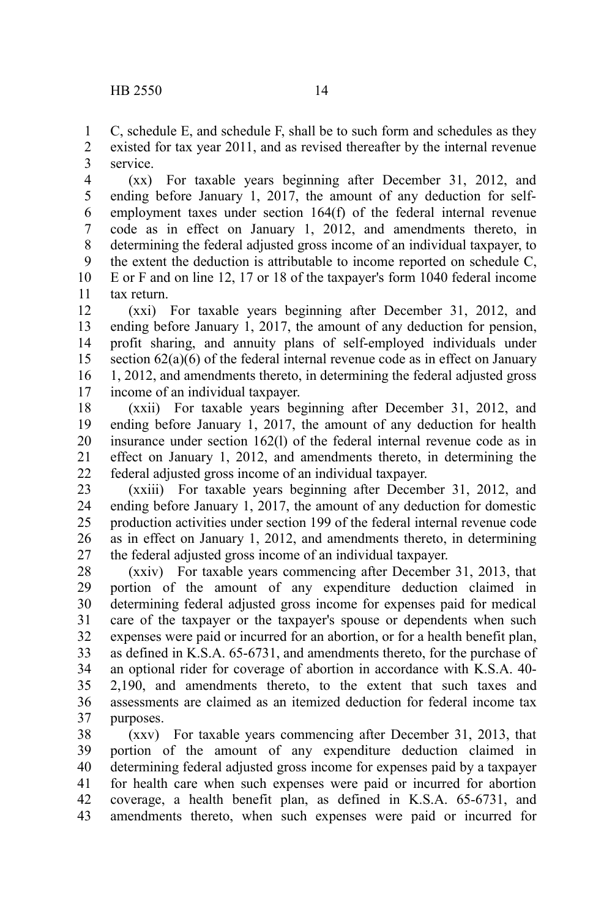C, schedule E, and schedule F, shall be to such form and schedules as they existed for tax year 2011, and as revised thereafter by the internal revenue service. 1 2 3

(xx) For taxable years beginning after December 31, 2012, and ending before January 1, 2017, the amount of any deduction for selfemployment taxes under section 164(f) of the federal internal revenue code as in effect on January 1, 2012, and amendments thereto, in determining the federal adjusted gross income of an individual taxpayer, to the extent the deduction is attributable to income reported on schedule C, E or F and on line 12, 17 or 18 of the taxpayer's form 1040 federal income tax return. 4 5 6 7 8 9 10 11

(xxi) For taxable years beginning after December 31, 2012, and ending before January 1, 2017, the amount of any deduction for pension, profit sharing, and annuity plans of self-employed individuals under section 62(a)(6) of the federal internal revenue code as in effect on January 1, 2012, and amendments thereto, in determining the federal adjusted gross income of an individual taxpayer. 12 13 14 15 16 17

(xxii) For taxable years beginning after December 31, 2012, and ending before January 1, 2017, the amount of any deduction for health insurance under section 162(l) of the federal internal revenue code as in effect on January 1, 2012, and amendments thereto, in determining the federal adjusted gross income of an individual taxpayer. 18 19 20 21 22

(xxiii) For taxable years beginning after December 31, 2012, and ending before January 1, 2017, the amount of any deduction for domestic production activities under section 199 of the federal internal revenue code as in effect on January 1, 2012, and amendments thereto, in determining the federal adjusted gross income of an individual taxpayer. 23 24 25 26 27

(xxiv) For taxable years commencing after December 31, 2013, that portion of the amount of any expenditure deduction claimed in determining federal adjusted gross income for expenses paid for medical care of the taxpayer or the taxpayer's spouse or dependents when such expenses were paid or incurred for an abortion, or for a health benefit plan, as defined in K.S.A. 65-6731, and amendments thereto, for the purchase of an optional rider for coverage of abortion in accordance with K.S.A. 40- 2,190, and amendments thereto, to the extent that such taxes and assessments are claimed as an itemized deduction for federal income tax purposes. 28 29 30 31 32 33 34 35 36 37

(xxv) For taxable years commencing after December 31, 2013, that portion of the amount of any expenditure deduction claimed in determining federal adjusted gross income for expenses paid by a taxpayer for health care when such expenses were paid or incurred for abortion coverage, a health benefit plan, as defined in K.S.A. 65-6731, and amendments thereto, when such expenses were paid or incurred for 38 39 40 41 42 43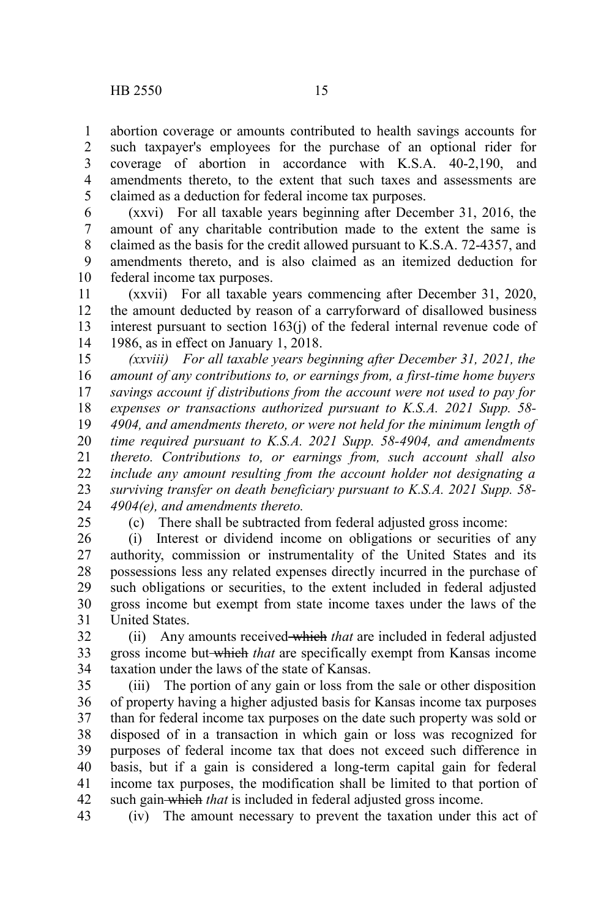abortion coverage or amounts contributed to health savings accounts for such taxpayer's employees for the purchase of an optional rider for coverage of abortion in accordance with K.S.A. 40-2,190, and amendments thereto, to the extent that such taxes and assessments are claimed as a deduction for federal income tax purposes. 1 2 3 4 5

(xxvi) For all taxable years beginning after December 31, 2016, the amount of any charitable contribution made to the extent the same is claimed as the basis for the credit allowed pursuant to K.S.A. 72-4357, and amendments thereto, and is also claimed as an itemized deduction for federal income tax purposes. 6 7 8 9 10

(xxvii) For all taxable years commencing after December 31, 2020, the amount deducted by reason of a carryforward of disallowed business interest pursuant to section 163(j) of the federal internal revenue code of 1986, as in effect on January 1, 2018. 11 12 13 14

*(xxviii) For all taxable years beginning after December 31, 2021, the amount of any contributions to, or earnings from, a first-time home buyers savings account if distributions from the account were not used to pay for expenses or transactions authorized pursuant to K.S.A. 2021 Supp. 58- 4904, and amendments thereto, or were not held for the minimum length of time required pursuant to K.S.A. 2021 Supp. 58-4904, and amendments thereto. Contributions to, or earnings from, such account shall also include any amount resulting from the account holder not designating a surviving transfer on death beneficiary pursuant to K.S.A. 2021 Supp. 58- 4904(e), and amendments thereto.* 15 16 17 18 19 20 21 22 23 24

25

(c) There shall be subtracted from federal adjusted gross income:

(i) Interest or dividend income on obligations or securities of any authority, commission or instrumentality of the United States and its possessions less any related expenses directly incurred in the purchase of such obligations or securities, to the extent included in federal adjusted gross income but exempt from state income taxes under the laws of the United States. 26 27 28 29 30 31

(ii) Any amounts received which *that* are included in federal adjusted gross income but which *that* are specifically exempt from Kansas income taxation under the laws of the state of Kansas. 32 33 34

(iii) The portion of any gain or loss from the sale or other disposition of property having a higher adjusted basis for Kansas income tax purposes than for federal income tax purposes on the date such property was sold or disposed of in a transaction in which gain or loss was recognized for purposes of federal income tax that does not exceed such difference in basis, but if a gain is considered a long-term capital gain for federal income tax purposes, the modification shall be limited to that portion of such gain which *that* is included in federal adjusted gross income. 35 36 37 38 39 40 41 42

(iv) The amount necessary to prevent the taxation under this act of 43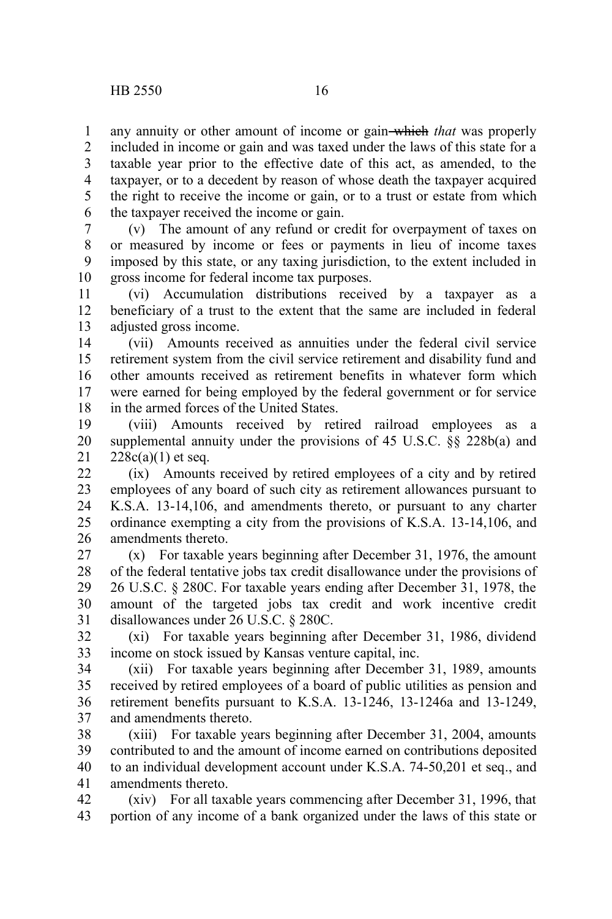any annuity or other amount of income or gain which *that* was properly included in income or gain and was taxed under the laws of this state for a taxable year prior to the effective date of this act, as amended, to the taxpayer, or to a decedent by reason of whose death the taxpayer acquired the right to receive the income or gain, or to a trust or estate from which the taxpayer received the income or gain. 1 2 3 4 5 6

(v) The amount of any refund or credit for overpayment of taxes on or measured by income or fees or payments in lieu of income taxes imposed by this state, or any taxing jurisdiction, to the extent included in gross income for federal income tax purposes. 7 8 9 10

(vi) Accumulation distributions received by a taxpayer as a beneficiary of a trust to the extent that the same are included in federal adjusted gross income. 11 12 13

(vii) Amounts received as annuities under the federal civil service retirement system from the civil service retirement and disability fund and other amounts received as retirement benefits in whatever form which were earned for being employed by the federal government or for service in the armed forces of the United States. 14 15 16 17 18

(viii) Amounts received by retired railroad employees as a supplemental annuity under the provisions of 45 U.S.C. §§ 228b(a) and  $228c(a)(1)$  et seq. 19 20 21

(ix) Amounts received by retired employees of a city and by retired employees of any board of such city as retirement allowances pursuant to K.S.A. 13-14,106, and amendments thereto, or pursuant to any charter ordinance exempting a city from the provisions of K.S.A. 13-14,106, and amendments thereto.  $22$ 23 24 25 26

(x) For taxable years beginning after December 31, 1976, the amount of the federal tentative jobs tax credit disallowance under the provisions of 26 U.S.C. § 280C. For taxable years ending after December 31, 1978, the amount of the targeted jobs tax credit and work incentive credit disallowances under 26 U.S.C. § 280C. 27 28 29 30 31

(xi) For taxable years beginning after December 31, 1986, dividend income on stock issued by Kansas venture capital, inc. 32 33

(xii) For taxable years beginning after December 31, 1989, amounts received by retired employees of a board of public utilities as pension and retirement benefits pursuant to K.S.A. 13-1246, 13-1246a and 13-1249, and amendments thereto. 34 35 36 37

(xiii) For taxable years beginning after December 31, 2004, amounts contributed to and the amount of income earned on contributions deposited to an individual development account under K.S.A. 74-50,201 et seq., and amendments thereto. 38 39 40 41

(xiv) For all taxable years commencing after December 31, 1996, that portion of any income of a bank organized under the laws of this state or 42 43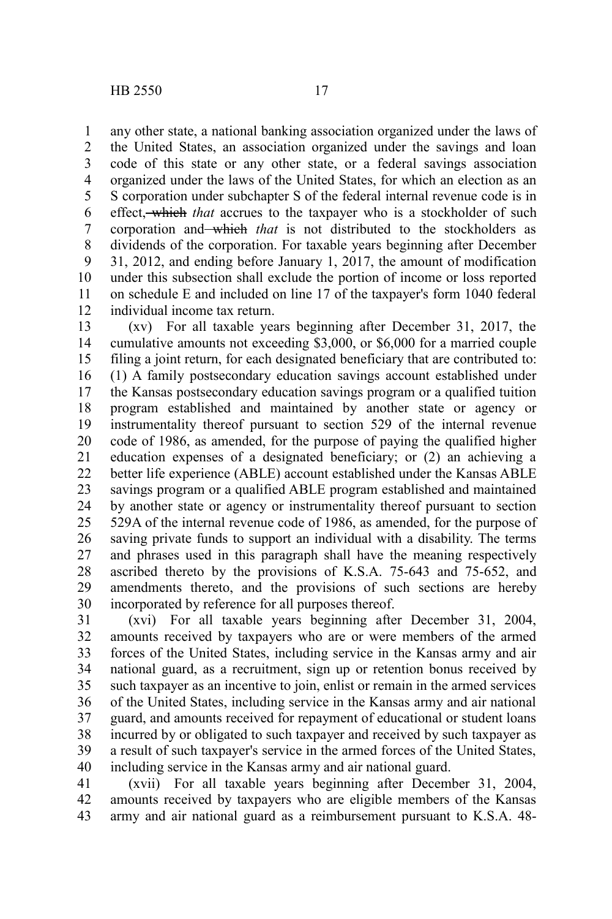any other state, a national banking association organized under the laws of the United States, an association organized under the savings and loan code of this state or any other state, or a federal savings association organized under the laws of the United States, for which an election as an S corporation under subchapter S of the federal internal revenue code is in effect, which *that* accrues to the taxpayer who is a stockholder of such corporation and which *that* is not distributed to the stockholders as dividends of the corporation. For taxable years beginning after December 31, 2012, and ending before January 1, 2017, the amount of modification under this subsection shall exclude the portion of income or loss reported on schedule E and included on line 17 of the taxpayer's form 1040 federal individual income tax return. 1 2 3 4 5 6 7 8 9 10 11 12

(xv) For all taxable years beginning after December 31, 2017, the cumulative amounts not exceeding \$3,000, or \$6,000 for a married couple filing a joint return, for each designated beneficiary that are contributed to: (1) A family postsecondary education savings account established under the Kansas postsecondary education savings program or a qualified tuition program established and maintained by another state or agency or instrumentality thereof pursuant to section 529 of the internal revenue code of 1986, as amended, for the purpose of paying the qualified higher education expenses of a designated beneficiary; or (2) an achieving a better life experience (ABLE) account established under the Kansas ABLE savings program or a qualified ABLE program established and maintained by another state or agency or instrumentality thereof pursuant to section 529A of the internal revenue code of 1986, as amended, for the purpose of saving private funds to support an individual with a disability. The terms and phrases used in this paragraph shall have the meaning respectively ascribed thereto by the provisions of K.S.A. 75-643 and 75-652, and amendments thereto, and the provisions of such sections are hereby incorporated by reference for all purposes thereof. 13 14 15 16 17 18 19 20 21 22 23 24 25 26 27 28 29 30

(xvi) For all taxable years beginning after December 31, 2004, amounts received by taxpayers who are or were members of the armed forces of the United States, including service in the Kansas army and air national guard, as a recruitment, sign up or retention bonus received by such taxpayer as an incentive to join, enlist or remain in the armed services of the United States, including service in the Kansas army and air national guard, and amounts received for repayment of educational or student loans incurred by or obligated to such taxpayer and received by such taxpayer as a result of such taxpayer's service in the armed forces of the United States, including service in the Kansas army and air national guard. 31 32 33 34 35 36 37 38 39 40

(xvii) For all taxable years beginning after December 31, 2004, amounts received by taxpayers who are eligible members of the Kansas army and air national guard as a reimbursement pursuant to K.S.A. 48- 41 42 43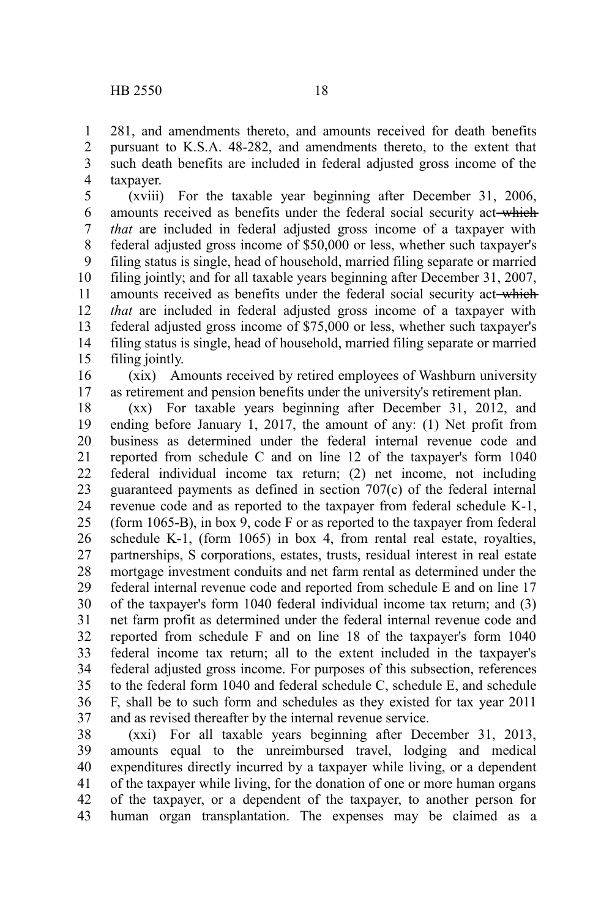281, and amendments thereto, and amounts received for death benefits pursuant to K.S.A. 48-282, and amendments thereto, to the extent that such death benefits are included in federal adjusted gross income of the taxpayer. 1 2 3 4

(xviii) For the taxable year beginning after December 31, 2006, amounts received as benefits under the federal social security act-which *that* are included in federal adjusted gross income of a taxpayer with federal adjusted gross income of \$50,000 or less, whether such taxpayer's filing status is single, head of household, married filing separate or married filing jointly; and for all taxable years beginning after December 31, 2007, amounts received as benefits under the federal social security act-which *that* are included in federal adjusted gross income of a taxpayer with federal adjusted gross income of \$75,000 or less, whether such taxpayer's filing status is single, head of household, married filing separate or married filing jointly. 5 6 7 8 9 10 11 12 13 14 15

(xix) Amounts received by retired employees of Washburn university as retirement and pension benefits under the university's retirement plan. 16 17

(xx) For taxable years beginning after December 31, 2012, and ending before January 1, 2017, the amount of any: (1) Net profit from business as determined under the federal internal revenue code and reported from schedule C and on line 12 of the taxpayer's form 1040 federal individual income tax return; (2) net income, not including guaranteed payments as defined in section 707(c) of the federal internal revenue code and as reported to the taxpayer from federal schedule K-1, (form 1065-B), in box 9, code F or as reported to the taxpayer from federal schedule K-1, (form 1065) in box 4, from rental real estate, royalties, partnerships, S corporations, estates, trusts, residual interest in real estate mortgage investment conduits and net farm rental as determined under the federal internal revenue code and reported from schedule E and on line 17 of the taxpayer's form 1040 federal individual income tax return; and (3) net farm profit as determined under the federal internal revenue code and reported from schedule F and on line 18 of the taxpayer's form 1040 federal income tax return; all to the extent included in the taxpayer's federal adjusted gross income. For purposes of this subsection, references to the federal form 1040 and federal schedule C, schedule E, and schedule F, shall be to such form and schedules as they existed for tax year 2011 and as revised thereafter by the internal revenue service. 18 19 20 21 22 23 24 25 26 27 28 29 30 31 32 33 34 35 36 37

(xxi) For all taxable years beginning after December 31, 2013, amounts equal to the unreimbursed travel, lodging and medical expenditures directly incurred by a taxpayer while living, or a dependent of the taxpayer while living, for the donation of one or more human organs of the taxpayer, or a dependent of the taxpayer, to another person for human organ transplantation. The expenses may be claimed as a 38 39 40 41 42 43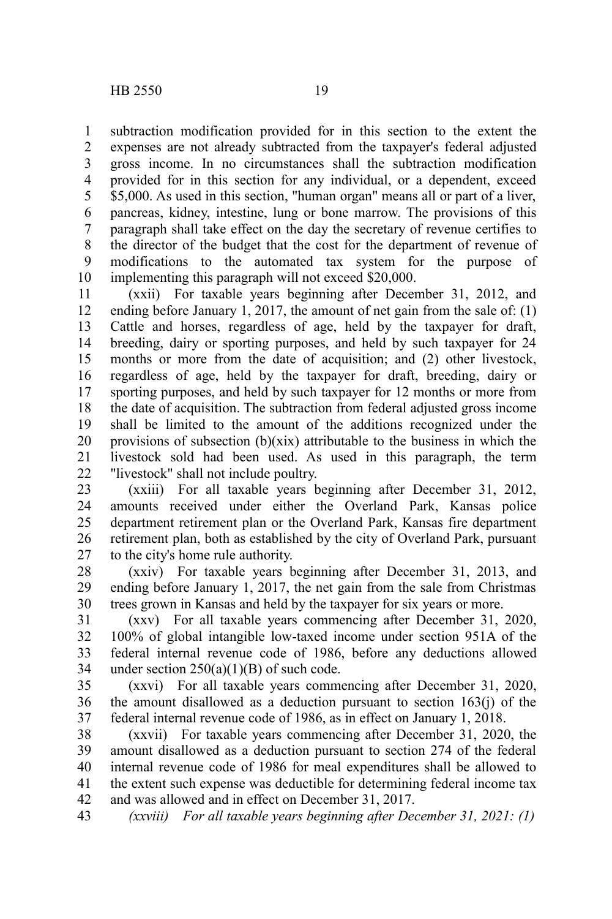1

subtraction modification provided for in this section to the extent the

expenses are not already subtracted from the taxpayer's federal adjusted gross income. In no circumstances shall the subtraction modification provided for in this section for any individual, or a dependent, exceed \$5,000. As used in this section, "human organ" means all or part of a liver, pancreas, kidney, intestine, lung or bone marrow. The provisions of this paragraph shall take effect on the day the secretary of revenue certifies to the director of the budget that the cost for the department of revenue of modifications to the automated tax system for the purpose of implementing this paragraph will not exceed \$20,000. 2 3 4 5 6 7 8 9 10

(xxii) For taxable years beginning after December 31, 2012, and ending before January 1, 2017, the amount of net gain from the sale of: (1) Cattle and horses, regardless of age, held by the taxpayer for draft, breeding, dairy or sporting purposes, and held by such taxpayer for 24 months or more from the date of acquisition; and (2) other livestock, regardless of age, held by the taxpayer for draft, breeding, dairy or sporting purposes, and held by such taxpayer for 12 months or more from the date of acquisition. The subtraction from federal adjusted gross income shall be limited to the amount of the additions recognized under the provisions of subsection  $(b)(xix)$  attributable to the business in which the livestock sold had been used. As used in this paragraph, the term "livestock" shall not include poultry. 11 12 13 14 15 16 17 18 19 20 21 22

(xxiii) For all taxable years beginning after December 31, 2012, amounts received under either the Overland Park, Kansas police department retirement plan or the Overland Park, Kansas fire department retirement plan, both as established by the city of Overland Park, pursuant to the city's home rule authority. 23 24 25 26 27

(xxiv) For taxable years beginning after December 31, 2013, and ending before January 1, 2017, the net gain from the sale from Christmas trees grown in Kansas and held by the taxpayer for six years or more. 28 29 30

(xxv) For all taxable years commencing after December 31, 2020, 100% of global intangible low-taxed income under section 951A of the federal internal revenue code of 1986, before any deductions allowed under section  $250(a)(1)(B)$  of such code. 31 32 33 34

(xxvi) For all taxable years commencing after December 31, 2020, the amount disallowed as a deduction pursuant to section  $163(j)$  of the federal internal revenue code of 1986, as in effect on January 1, 2018. 35 36 37

(xxvii) For taxable years commencing after December 31, 2020, the amount disallowed as a deduction pursuant to section 274 of the federal internal revenue code of 1986 for meal expenditures shall be allowed to the extent such expense was deductible for determining federal income tax and was allowed and in effect on December 31, 2017. 38 39 40 41 42

*(xxviii) For all taxable years beginning after December 31, 2021: (1)* 43